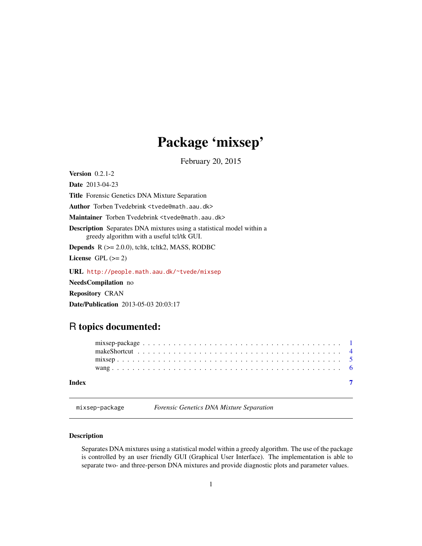# Package 'mixsep'

February 20, 2015

<span id="page-0-1"></span><span id="page-0-0"></span>**Version** 0.2.1-2

Date 2013-04-23

Title Forensic Genetics DNA Mixture Separation

Author Torben Tvedebrink <tvede@math.aau.dk>

Maintainer Torben Tvedebrink <tvede@math.aau.dk>

Description Separates DNA mixtures using a statistical model within a greedy algorithm with a useful tcl/tk GUI.

**Depends**  $R$  ( $>= 2.0.0$ ), tcltk, tcltk2, MASS, RODBC

License GPL  $(>= 2)$ 

URL <http://people.math.aau.dk/~tvede/mixsep>

NeedsCompilation no

Repository CRAN

Date/Publication 2013-05-03 20:03:17

## R topics documented:

| Index |  |  |  |  |  |  |  |  |  |  |  |  |  |  |  |  |  |  |
|-------|--|--|--|--|--|--|--|--|--|--|--|--|--|--|--|--|--|--|

mixsep-package *Forensic Genetics DNA Mixture Separation*

## Description

Separates DNA mixtures using a statistical model within a greedy algorithm. The use of the package is controlled by an user friendly GUI (Graphical User Interface). The implementation is able to separate two- and three-person DNA mixtures and provide diagnostic plots and parameter values.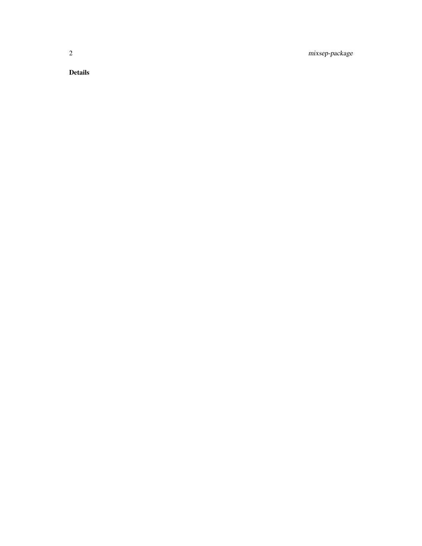2 mixsep-package

Details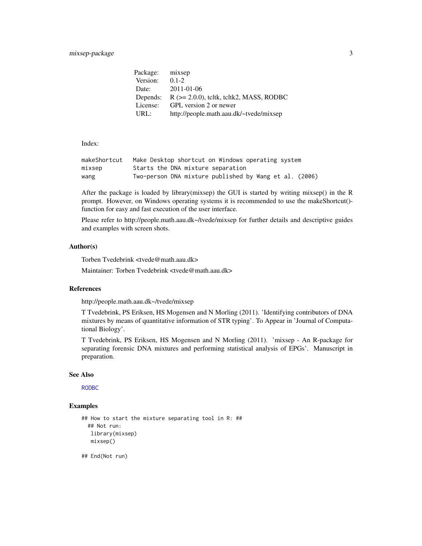## <span id="page-2-0"></span>mixsep-package 3

| Package: | mixsep                                         |
|----------|------------------------------------------------|
| Version: | $0.1 - 2.$                                     |
| Date:    | $2011 - 01 - 06$                               |
| Depends: | $R$ ( $>= 2.0.0$ ), teltk, teltk2, MASS, RODBC |
| License: | GPL version 2 or newer                         |
| URL:     | http://people.math.aau.dk/~tvede/mixsep        |

Index:

| makeShortcut | Make Desktop shortcut on Windows operating system      |
|--------------|--------------------------------------------------------|
| mixsep       | Starts the DNA mixture separation                      |
| wang         | Two-person DNA mixture published by Wang et al. (2006) |

After the package is loaded by library(mixsep) the GUI is started by writing mixsep() in the R prompt. However, on Windows operating systems it is recommended to use the makeShortcut() function for easy and fast execution of the user interface.

Please refer to http://people.math.aau.dk~/tvede/mixsep for further details and descriptive guides and examples with screen shots.

## Author(s)

Torben Tvedebrink <tvede@math.aau.dk>

Maintainer: Torben Tvedebrink <tvede@math.aau.dk>

#### References

http://people.math.aau.dk~/tvede/mixsep

T Tvedebrink, PS Eriksen, HS Mogensen and N Morling (2011). 'Identifying contributors of DNA mixtures by means of quantitative information of STR typing'. To Appear in 'Journal of Computational Biology'.

T Tvedebrink, PS Eriksen, HS Mogensen and N Morling (2011). 'mixsep - An R-package for separating forensic DNA mixtures and performing statistical analysis of EPGs'. Manuscript in preparation.

#### See Also

[RODBC](#page-0-1)

#### Examples

```
## How to start the mixture separating tool in R: ##
 ## Not run:
  library(mixsep)
  mixsep()
```
## End(Not run)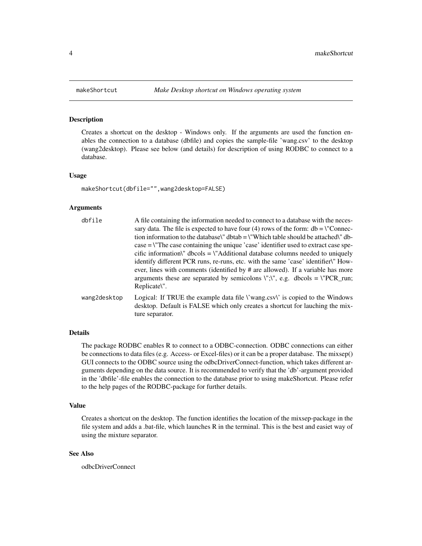#### Description

Creates a shortcut on the desktop - Windows only. If the arguments are used the function enables the connection to a database (dbfile) and copies the sample-file 'wang.csv' to the desktop (wang2desktop). Please see below (and details) for description of using RODBC to connect to a database.

#### Usage

makeShortcut(dbfile="",wang2desktop=FALSE)

#### Arguments

| dbfile       | A file containing the information needed to connect to a database with the neces-<br>sary data. The file is expected to have four (4) rows of the form: $db = \text{``Connect}$<br>tion information to the database. "dbtab = \"Which table should be attached." db-<br>$case = \text{``The case containing the unique 'case' identifier used to extract case spe-}$                                                                 |
|--------------|--------------------------------------------------------------------------------------------------------------------------------------------------------------------------------------------------------------------------------------------------------------------------------------------------------------------------------------------------------------------------------------------------------------------------------------|
|              | cific information\" dbcols = \"Additional database columns needed to uniquely<br>identify different PCR runs, re-runs, etc. with the same 'case' identifier\" How-<br>ever, lines with comments (identified by $\#$ are allowed). If a variable has more<br>arguments these are separated by semicolons $\lbrack \lbrack \cdot \rbrack \lbrack \cdot \rbrack$ , e.g. dbcols = $\lbrack \lbrack \cdot \rbrack$ PCR_run;<br>Replicate. |
| wang2desktop | Logical: If TRUE the example data file $\forall$ wang.csv $\forall$ is copied to the Windows<br>desktop. Default is FALSE which only creates a shortcut for lauching the mix-<br>ture separator.                                                                                                                                                                                                                                     |

#### Details

The package RODBC enables R to connect to a ODBC-connection. ODBC connections can either be connections to data files (e.g. Access- or Excel-files) or it can be a proper database. The mixsep() GUI connects to the ODBC source using the odbcDriverConnect-function, which takes different arguments depending on the data source. It is recommended to verify that the 'db'-argument provided in the 'dbfile'-file enables the connection to the database prior to using makeShortcut. Please refer to the help pages of the RODBC-package for further details.

#### Value

Creates a shortcut on the desktop. The function identifies the location of the mixsep-package in the file system and adds a .bat-file, which launches R in the terminal. This is the best and easiet way of using the mixture separator.

#### See Also

odbcDriverConnect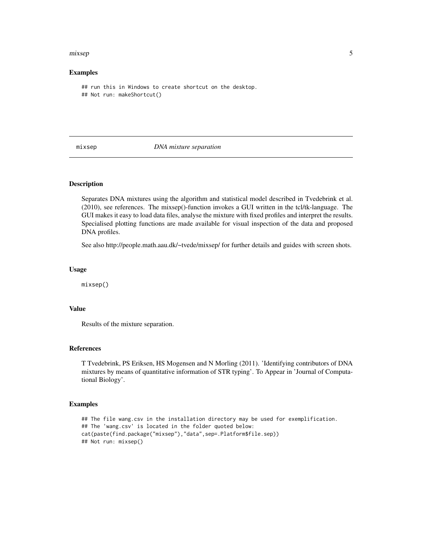#### <span id="page-4-0"></span>mixsep 55 to the state of the state of the state of the state of the state of the state of the state of the state of the state of the state of the state of the state of the state of the state of the state of the state of t

#### Examples

```
## run this in Windows to create shortcut on the desktop.
## Not run: makeShortcut()
```
#### mixsep *DNA mixture separation*

#### Description

Separates DNA mixtures using the algorithm and statistical model described in Tvedebrink et al. (2010), see references. The mixsep()-function invokes a GUI written in the tcl/tk-language. The GUI makes it easy to load data files, analyse the mixture with fixed profiles and interpret the results. Specialised plotting functions are made available for visual inspection of the data and proposed DNA profiles.

See also http://people.math.aau.dk/~tvede/mixsep/ for further details and guides with screen shots.

#### Usage

mixsep()

### Value

Results of the mixture separation.

#### References

T Tvedebrink, PS Eriksen, HS Mogensen and N Morling (2011). 'Identifying contributors of DNA mixtures by means of quantitative information of STR typing'. To Appear in 'Journal of Computational Biology'.

#### Examples

```
## The file wang.csv in the installation directory may be used for exemplification.
## The 'wang.csv' is located in the folder quoted below:
cat(paste(find.package("mixsep"),"data",sep=.Platform$file.sep))
## Not run: mixsep()
```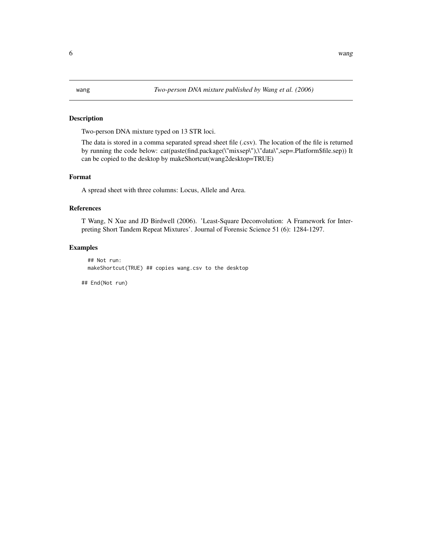#### <span id="page-5-0"></span>Description

Two-person DNA mixture typed on 13 STR loci.

The data is stored in a comma separated spread sheet file (.csv). The location of the file is returned by running the code below: cat(paste(find.package(\"mixsep\"),\"data\",sep=.Platform\$file.sep)) It can be copied to the desktop by makeShortcut(wang2desktop=TRUE)

#### Format

A spread sheet with three columns: Locus, Allele and Area.

## References

T Wang, N Xue and JD Birdwell (2006). 'Least-Square Deconvolution: A Framework for Interpreting Short Tandem Repeat Mixtures'. Journal of Forensic Science 51 (6): 1284-1297.

#### Examples

```
## Not run:
makeShortcut(TRUE) ## copies wang.csv to the desktop
```
## End(Not run)